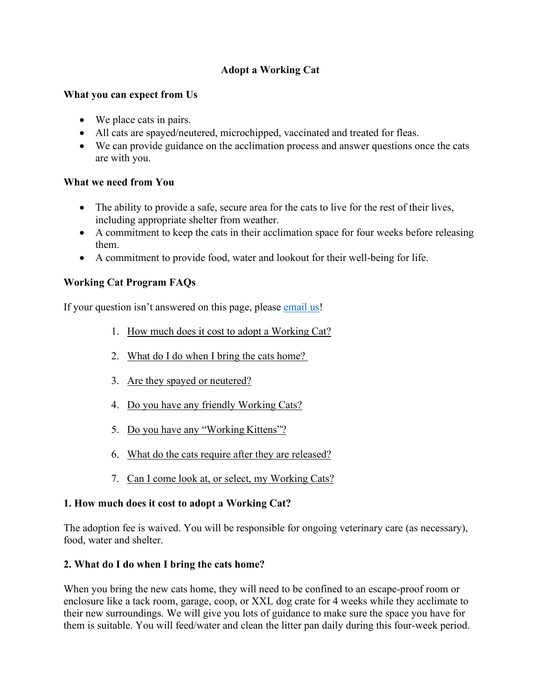## **Adopt a Working Cat**

#### **What you can expect from Us**

- We place cats in pairs.
- All cats are spayed/neutered, microchipped, vaccinated and treated for fleas.
- We can provide guidance on the acclimation process and answer questions once the cats are with you.

### **What we need from You**

- The ability to provide a safe, secure area for the cats to live for the rest of their lives, including appropriate shelter from weather.
- A commitment to keep the cats in their acclimation space for four weeks before releasing them.
- A commitment to provide food, water and lookout for their well-being for life.

### **Working Cat Program FAQs**

If your question isn't answered on this page, please [email us!](mailto:oasworkingcats@gmail.com)

- 1. How much does it cost to adopt a Working Cat?
- 2. What do I do when I bring the cats home?
- 3. Are they spayed or neutered?
- 4. Do you have any friendly Working Cats?
- 5. Do you have any "Working Kittens"?
- 6. What do the cats require after they are released?
- 7. Can I come look at, or select, my Working Cats?

### **1. How much does it cost to adopt a Working Cat?**

The adoption fee is waived. You will be responsible for ongoing veterinary care (as necessary), food, water and shelter.

### **2. What do I do when I bring the cats home?**

When you bring the new cats home, they will need to be confined to an escape-proof room or enclosure like a tack room, garage, coop, or XXL dog crate for 4 weeks while they acclimate to their new surroundings. We will give you lots of guidance to make sure the space you have for them is suitable. You will feed/water and clean the litter pan daily during this four-week period.